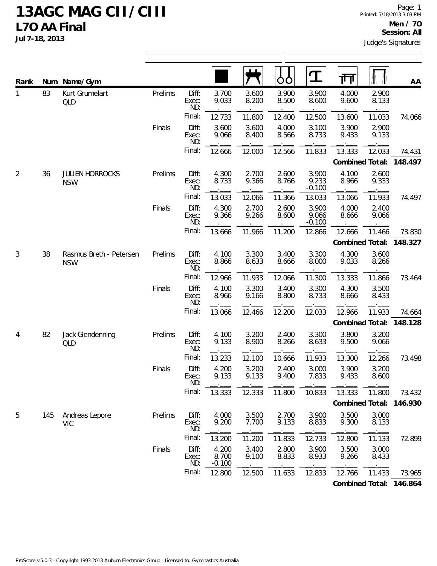| Rank           | Num | Name/Gym                              |         |                       |                            |                |                | $\mathbf T$                | ग्ग             |                | AA                      |
|----------------|-----|---------------------------------------|---------|-----------------------|----------------------------|----------------|----------------|----------------------------|-----------------|----------------|-------------------------|
| $\mathbf{1}$   | 83  | Kurt Grumelart<br>QLD                 | Prelims | Diff:<br>Exec:<br>ND: | 3.700<br>9.033             | 3.600<br>8.200 | 3.900<br>8.500 | 3.900<br>8.600             | 4.000<br>9.600  | 2.900<br>8.133 |                         |
|                |     |                                       |         | Final:                | 12.733                     | 11.800         | 12.400         | 12.500                     | 13.600          | 11.033         | 74.066                  |
|                |     |                                       | Finals  | Diff:<br>Exec:<br>ND: | 3.600<br>9.066             | 3.600<br>8.400 | 4.000<br>8.566 | 3.100<br>8.733             | 3.900<br>9.433  | 2.900<br>9.133 |                         |
|                |     |                                       |         | Final:                | 12.666                     | 12.000         | 12.566         | 11.833                     | 13.333          | 12.033         | 74.431                  |
|                |     |                                       |         |                       |                            |                |                |                            | Combined Total: |                | 148.497                 |
| $\overline{2}$ | 36  | <b>JULIEN HORROCKS</b><br><b>NSW</b>  | Prelims | Diff:<br>Exec:<br>ND: | 4.300<br>8.733             | 2.700<br>9.366 | 2.600<br>8.766 | 3.900<br>9.233<br>$-0.100$ | 4.100<br>8.966  | 2.600<br>9.333 |                         |
|                |     |                                       |         | Final:                | 13.033                     | 12.066         | 11.366         | 13.033                     | 13.066          | 11.933         | 74.497                  |
|                |     |                                       | Finals  | Diff:<br>Exec:<br>ND: | 4.300<br>9.366             | 2.700<br>9.266 | 2.600<br>8.600 | 3.900<br>9.066<br>$-0.100$ | 4.000<br>8.666  | 2.400<br>9.066 |                         |
|                |     |                                       |         | Final:                | 13.666                     | 11.966         | 11.200         | 12.866                     | 12.666          | 11.466         | 73.830                  |
|                |     |                                       |         |                       |                            |                |                |                            | Combined Total: |                | 148.327                 |
| $\mathfrak{Z}$ | 38  | Rasmus Breth - Petersen<br><b>NSW</b> | Prelims | Diff:<br>Exec:<br>ND: | 4.100<br>8.866             | 3.300<br>8.633 | 3.400<br>8.666 | 3.300<br>8.000             | 4.300<br>9.033  | 3.600<br>8.266 |                         |
|                |     |                                       |         | Final:                | 12.966                     | 11.933         | 12.066         | 11.300                     | 13.333          | 11.866         | 73.464                  |
|                |     |                                       | Finals  | Diff:<br>Exec:<br>ND: | 4.100<br>8.966             | 3.300<br>9.166 | 3.400<br>8.800 | 3.300<br>8.733             | 4.300<br>8.666  | 3.500<br>8.433 |                         |
|                |     |                                       |         | Final:                | 13.066                     | 12.466         | 12.200         | 12.033                     | 12.966          | 11.933         | 74.664                  |
|                |     |                                       |         |                       |                            |                |                |                            |                 |                | Combined Total: 148.128 |
| $\overline{4}$ | 82  | Jack Glendenning<br>QLD               | Prelims | Diff:<br>Exec:<br>ND: | 4.100<br>9.133             | 3.200<br>8.900 | 2.400<br>8.266 | 3.300<br>8.633             | 3.800<br>9.500  | 3.200<br>9.066 |                         |
|                |     |                                       |         | Final:                | 13.233                     | 12.100         | 10.666         | 11.933                     | 13.300          | 12.266         | 73.498                  |
|                |     |                                       | Finals  | Diff:<br>Exec:<br>ND: | 4.200<br>9.133             | 3.200<br>9.133 | 2.400<br>9.400 | 3.000<br>7.833             | 3.900<br>9.433  | 3.200<br>8.600 |                         |
|                |     |                                       |         | Final:                | 13.333                     | 12.333         | 11.800         | 10.833                     | 13.333          | 11.800         | 73.432                  |
|                |     |                                       |         |                       |                            |                |                |                            |                 |                | Combined Total: 146.930 |
| 5              | 145 | Andreas Lepore<br><b>VIC</b>          | Prelims | Diff:<br>Exec:<br>ND: | 4.000<br>9.200             | 3.500<br>7.700 | 2.700<br>9.133 | 3.900<br>8.833             | 3.500<br>9.300  | 3.000<br>8.133 |                         |
|                |     |                                       |         | Final:                | 13.200                     | 11.200         | 11.833         | 12.733                     | 12.800          | 11.133         | 72.899                  |
|                |     |                                       | Finals  | Diff:<br>Exec:<br>ND: | 4.200<br>8.700<br>$-0.100$ | 3.400<br>9.100 | 2.800<br>8.833 | 3.900<br>8.933             | 3.500<br>9.266  | 3.000<br>8.433 |                         |
|                |     |                                       |         | Final:                | 12.800                     | 12.500         | 11.633         | 12.833                     | 12.766          | 11.433         | 73.965                  |
|                |     |                                       |         |                       |                            |                |                |                            |                 |                | Combined Total: 146.864 |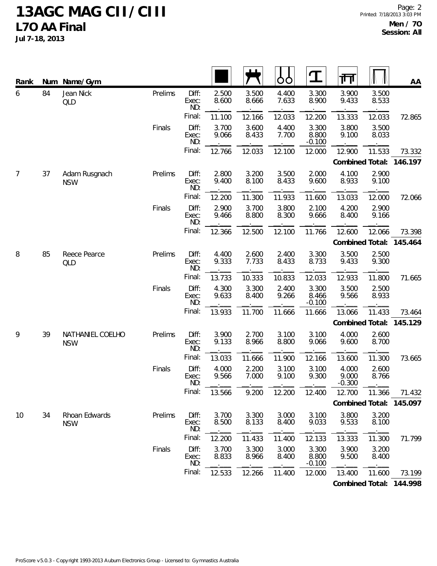| Rank | Num | Name/Gym                       |         |                       |                |                | O<br>O         | 工                          | गा                         |                | AA                      |
|------|-----|--------------------------------|---------|-----------------------|----------------|----------------|----------------|----------------------------|----------------------------|----------------|-------------------------|
| 6    | 84  | Jean Nick<br><b>QLD</b>        | Prelims | Diff:<br>Exec:<br>ND: | 2.500<br>8.600 | 3.500<br>8.666 | 4.400<br>7.633 | 3.300<br>8.900             | 3.900<br>9.433             | 3.500<br>8.533 |                         |
|      |     |                                |         | Final:                | 11.100         | 12.166         | 12.033         | 12.200                     | 13.333                     | 12.033         | 72.865                  |
|      |     |                                | Finals  | Diff:<br>Exec:<br>ND: | 3.700<br>9.066 | 3.600<br>8.433 | 4.400<br>7.700 | 3.300<br>8.800<br>$-0.100$ | 3.800<br>9.100             | 3.500<br>8.033 |                         |
|      |     |                                |         | Final:                | 12.766         | 12.033         | 12.100         | 12.000                     | 12.900                     | 11.533         | 73.332                  |
|      |     |                                |         |                       |                |                |                |                            | Combined Total:            |                | 146.197                 |
| 7    | 37  | Adam Rusgnach<br><b>NSW</b>    | Prelims | Diff:<br>Exec:<br>ND: | 2.800<br>9.400 | 3.200<br>8.100 | 3.500<br>8.433 | 2.000<br>9.600             | 4.100<br>8.933             | 2.900<br>9.100 |                         |
|      |     |                                |         | Final:                | 12.200         | 11.300         | 11.933         | 11.600                     | 13.033                     | 12.000         | 72.066                  |
|      |     |                                | Finals  | Diff:<br>Exec:<br>ND: | 2.900<br>9.466 | 3.700<br>8.800 | 3.800<br>8.300 | 2.100<br>9.666             | 4.200<br>8.400             | 2.900<br>9.166 |                         |
|      |     |                                |         | Final:                | 12.366         | 12.500         | 12.100         | 11.766                     | 12.600                     | 12.066         | 73.398                  |
|      |     |                                |         |                       |                |                |                |                            | Combined Total:            |                | 145.464                 |
| 8    | 85  | Reece Pearce<br>QLD            | Prelims | Diff:<br>Exec:<br>ND: | 4.400<br>9.333 | 2.600<br>7.733 | 2.400<br>8.433 | 3.300<br>8.733             | 3.500<br>9.433             | 2.500<br>9.300 |                         |
|      |     |                                |         | Final:                | 13.733         | 10.333         | 10.833         | 12.033                     | 12.933                     | 11.800         | 71.665                  |
|      |     |                                | Finals  | Diff:<br>Exec:<br>ND: | 4.300<br>9.633 | 3.300<br>8.400 | 2.400<br>9.266 | 3.300<br>8.466<br>$-0.100$ | 3.500<br>9.566             | 2.500<br>8.933 |                         |
|      |     |                                |         | Final:                | 13.933         | 11.700         | 11.666         | 11.666                     | 13.066                     | 11.433         | 73.464                  |
|      |     |                                |         |                       |                |                |                |                            | Combined Total:            |                | 145.129                 |
| 9    | 39  | NATHANIEL COELHO<br><b>NSW</b> | Prelims | Diff:<br>Exec:<br>ND: | 3.900<br>9.133 | 2.700<br>8.966 | 3.100<br>8.800 | 3.100<br>9.066             | 4.000<br>9.600             | 2.600<br>8.700 |                         |
|      |     |                                |         | Final:                | 13.033         | 11.666         | 11.900         | 12.166                     | 13.600                     | 11.300         | 73.665                  |
|      |     |                                | Finals  | Diff:<br>Exec:<br>ND: | 4.000<br>9.566 | 2.200<br>7.000 | 3.100<br>9.100 | 3.100<br>9.300             | 4.000<br>9.000<br>$-0.300$ | 2.600<br>8.766 |                         |
|      |     |                                |         | Final:                | 13.566         | 9.200          | 12.200         | 12.400                     | 12.700                     | 11.366         | 71.432                  |
|      |     |                                |         |                       |                |                |                |                            |                            |                | Combined Total: 145.097 |
| 10   | 34  | Rhoan Edwards<br><b>NSW</b>    | Prelims | Diff:<br>Exec:<br>ND: | 3.700<br>8.500 | 3.300<br>8.133 | 3.000<br>8.400 | 3.100<br>9.033             | 3.800<br>9.533             | 3.200<br>8.100 |                         |
|      |     |                                |         | Final:                | 12.200         | 11.433         | 11.400         | 12.133                     | 13.333                     | 11.300         | 71.799                  |
|      |     |                                | Finals  | Diff:<br>Exec:<br>ND: | 3.700<br>8.833 | 3.300<br>8.966 | 3.000<br>8.400 | 3.300<br>8.800<br>$-0.100$ | 3.900<br>9.500             | 3.200<br>8.400 |                         |
|      |     |                                |         | Final:                | 12.533         | 12.266         | 11.400         | 12.000                     | 13.400                     | 11.600         | 73.199                  |
|      |     |                                |         |                       |                |                |                |                            |                            |                | Combined Total: 144.998 |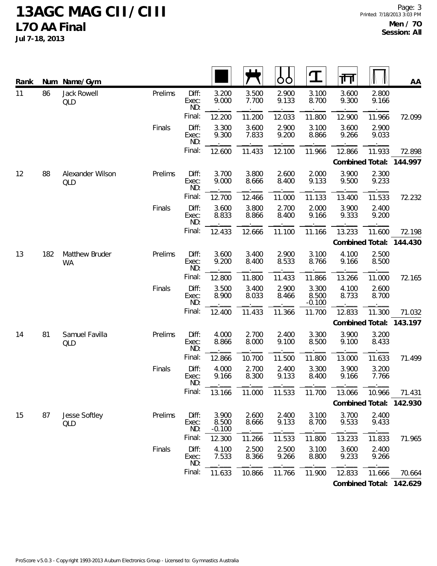| Rank | Num | Name/Gym                    |         |                       |                            |                | Ő              | $\bf{I}$                   | 帀               |                | AA                      |
|------|-----|-----------------------------|---------|-----------------------|----------------------------|----------------|----------------|----------------------------|-----------------|----------------|-------------------------|
| 11   | 86  | Jack Rowell<br><b>QLD</b>   | Prelims | Diff:<br>Exec:<br>ND: | 3.200<br>9.000             | 3.500<br>7.700 | 2.900<br>9.133 | 3.100<br>8.700             | 3.600<br>9.300  | 2.800<br>9.166 |                         |
|      |     |                             |         | Final:                | 12.200                     | 11.200         | 12.033         | 11.800                     | 12.900          | 11.966         | 72.099                  |
|      |     |                             | Finals  | Diff:<br>Exec:<br>ND: | 3.300<br>9.300             | 3.600<br>7.833 | 2.900<br>9.200 | 3.100<br>8.866             | 3.600<br>9.266  | 2.900<br>9.033 |                         |
|      |     |                             |         | Final:                | 12.600                     | 11.433         | 12.100         | 11.966                     | 12.866          | 11.933         | 72.898                  |
|      |     |                             |         |                       |                            |                |                |                            | Combined Total: |                | 144.997                 |
| 12   | 88  | Alexander Wilson<br>QLD     | Prelims | Diff:<br>Exec:<br>ND: | 3.700<br>9.000             | 3.800<br>8.666 | 2.600<br>8.400 | 2.000<br>9.133             | 3.900<br>9.500  | 2.300<br>9.233 |                         |
|      |     |                             |         | Final:                | 12.700                     | 12.466         | 11.000         | 11.133                     | 13.400          | 11.533         | 72.232                  |
|      |     |                             | Finals  | Diff:<br>Exec:<br>ND: | 3.600<br>8.833             | 3.800<br>8.866 | 2.700<br>8.400 | 2.000<br>9.166             | 3.900<br>9.333  | 2.400<br>9.200 |                         |
|      |     |                             |         | Final:                | 12.433                     | 12.666         | 11.100         | 11.166                     | 13.233          | 11.600         | 72.198                  |
|      |     |                             |         |                       |                            |                |                |                            | Combined Total: |                | 144.430                 |
| 13   | 182 | Matthew Bruder<br><b>WA</b> | Prelims | Diff:<br>Exec:<br>ND: | 3.600<br>9.200             | 3.400<br>8.400 | 2.900<br>8.533 | 3.100<br>8.766             | 4.100<br>9.166  | 2.500<br>8.500 |                         |
|      |     |                             |         | Final:                | 12.800                     | 11.800         | 11.433         | 11.866                     | 13.266          | 11.000         | 72.165                  |
|      |     |                             | Finals  | Diff:<br>Exec:<br>ND: | 3.500<br>8.900             | 3.400<br>8.033 | 2.900<br>8.466 | 3.300<br>8.500<br>$-0.100$ | 4.100<br>8.733  | 2.600<br>8.700 |                         |
|      |     |                             |         | Final:                | 12.400                     | 11.433         | 11.366         | 11.700                     | 12.833          | 11.300         | 71.032                  |
|      |     |                             |         |                       |                            |                |                |                            | Combined Total: |                | 143.197                 |
| 14   | 81  | Samuel Favilla<br>QLD       | Prelims | Diff:<br>Exec:<br>ND: | 4.000<br>8.866             | 2.700<br>8.000 | 2.400<br>9.100 | 3.300<br>8.500             | 3.900<br>9.100  | 3.200<br>8.433 |                         |
|      |     |                             |         | Final:                | 12.866                     | 10.700         | 11.500         | 11.800                     | 13.000          | 11.633         | 71.499                  |
|      |     |                             | Finals  | Diff:<br>Exec:<br>ND: | 4.000<br>9.166             | 2.700<br>8.300 | 2.400<br>9.133 | 3.300<br>8.400             | 3.900<br>9.166  | 3.200<br>7.766 |                         |
|      |     |                             |         | Final:                | 13.166                     | 11.000         | 11.533         | 11.700                     | 13.066          | 10.966         | 71.431                  |
|      |     |                             |         |                       |                            |                |                |                            |                 |                | Combined Total: 142.930 |
| 15   | 87  | Jesse Softley<br>QLD        | Prelims | Diff:<br>Exec:<br>ND: | 3.900<br>8.500<br>$-0.100$ | 2.600<br>8.666 | 2.400<br>9.133 | 3.100<br>8.700             | 3.700<br>9.533  | 2.400<br>9.433 |                         |
|      |     |                             |         | Final:                | 12.300                     | 11.266         | 11.533         | 11.800                     | 13.233          | 11.833         | 71.965                  |
|      |     |                             | Finals  | Diff:<br>Exec:<br>ND: | 4.100<br>7.533             | 2.500<br>8.366 | 2.500<br>9.266 | 3.100<br>8.800             | 3.600<br>9.233  | 2.400<br>9.266 |                         |
|      |     |                             |         | Final:                | 11.633                     | 10.866         | 11.766         | 11.900                     | 12.833          | 11.666         | 70.664                  |
|      |     |                             |         |                       |                            |                |                |                            |                 |                | Combined Total: 142.629 |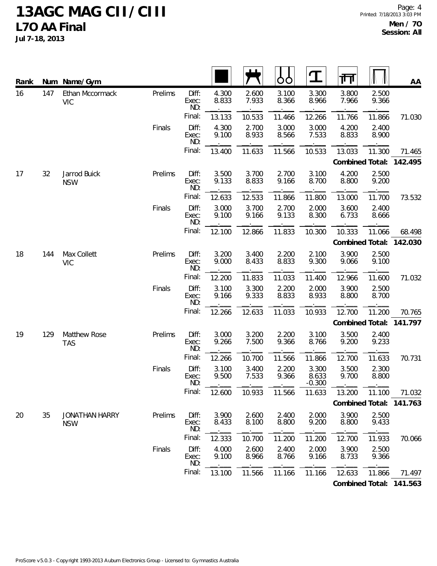**Jul 7-18, 2013**

| Rank |     | Num Name/Gym                        |         |                       |                |                | Ő<br>Ċ         | $\mathbf \Omega$           | गि              |                | AA                      |
|------|-----|-------------------------------------|---------|-----------------------|----------------|----------------|----------------|----------------------------|-----------------|----------------|-------------------------|
| 16   | 147 | Ethan Mccormack<br><b>VIC</b>       | Prelims | Diff:<br>Exec:<br>ND: | 4.300<br>8.833 | 2.600<br>7.933 | 3.100<br>8.366 | 3.300<br>8.966             | 3.800<br>7.966  | 2.500<br>9.366 |                         |
|      |     |                                     |         | Final:                | 13.133         | 10.533         | 11.466         | 12.266                     | 11.766          | 11.866         | 71.030                  |
|      |     |                                     | Finals  | Diff:<br>Exec:<br>ND: | 4.300<br>9.100 | 2.700<br>8.933 | 3.000<br>8.566 | 3.000<br>7.533             | 4.200<br>8.833  | 2.400<br>8.900 |                         |
|      |     |                                     |         | Final:                | 13.400         | 11.633         | 11.566         | 10.533                     | 13.033          | 11.300         | 71.465                  |
|      |     |                                     |         |                       |                |                |                |                            | Combined Total: |                | 142.495                 |
| 17   | 32  | Jarrod Buick<br><b>NSW</b>          | Prelims | Diff:<br>Exec:<br>ND: | 3.500<br>9.133 | 3.700<br>8.833 | 2.700<br>9.166 | 3.100<br>8.700             | 4.200<br>8.800  | 2.500<br>9.200 |                         |
|      |     |                                     |         | Final:                | 12.633         | 12.533         | 11.866         | 11.800                     | 13.000          | 11.700         | 73.532                  |
|      |     |                                     | Finals  | Diff:<br>Exec:<br>ND: | 3.000<br>9.100 | 3.700<br>9.166 | 2.700<br>9.133 | 2.000<br>8.300             | 3.600<br>6.733  | 2.400<br>8.666 |                         |
|      |     |                                     |         | Final:                | 12.100         | 12.866         | 11.833         | 10.300                     | 10.333          | 11.066         | 68.498                  |
|      |     |                                     |         |                       |                |                |                |                            | Combined Total: |                | 142.030                 |
| 18   | 144 | Max Collett<br><b>VIC</b>           | Prelims | Diff:<br>Exec:<br>ND: | 3.200<br>9.000 | 3.400<br>8.433 | 2.200<br>8.833 | 2.100<br>9.300             | 3.900<br>9.066  | 2.500<br>9.100 |                         |
|      |     |                                     |         | Final:                | 12.200         | 11.833         | 11.033         | 11.400                     | 12.966          | 11.600         | 71.032                  |
|      |     |                                     | Finals  | Diff:<br>Exec:<br>ND: | 3.100<br>9.166 | 3.300<br>9.333 | 2.200<br>8.833 | 2.000<br>8.933             | 3.900<br>8.800  | 2.500<br>8.700 |                         |
|      |     |                                     |         | Final:                | 12.266         | 12.633         | 11.033         | 10.933                     | 12.700          | 11.200         | 70.765                  |
|      |     |                                     |         |                       |                |                |                |                            | Combined Total: |                | 141.797                 |
| 19   | 129 | Matthew Rose<br><b>TAS</b>          | Prelims | Diff:<br>Exec:<br>ND: | 3.000<br>9.266 | 3.200<br>7.500 | 2.200<br>9.366 | 3.100<br>8.766             | 3.500<br>9.200  | 2.400<br>9.233 |                         |
|      |     |                                     |         | Final:                | 12.266         | 10.700         | 11.566         | 11.866                     | 12.700          | 11.633         | 70.731                  |
|      |     |                                     | Finals  | Diff:<br>Exec:<br>ND: | 3.100<br>9.500 | 3.400<br>7.533 | 2.200<br>9.366 | 3.300<br>8.633<br>$-0.300$ | 3.500<br>9.700  | 2.300<br>8.800 |                         |
|      |     |                                     |         | Final:                | 12.600         | 10.933         | 11.566         | 11.633                     | 13.200          | 11.100         | 71.032                  |
|      |     |                                     |         |                       |                |                |                |                            |                 |                | Combined Total: 141.763 |
| 20   | 35  | <b>JONATHAN HARRY</b><br><b>NSW</b> | Prelims | Diff:<br>Exec:<br>ND: | 3.900<br>8.433 | 2.600<br>8.100 | 2.400<br>8.800 | 2.000<br>9.200             | 3.900<br>8.800  | 2.500<br>9.433 |                         |
|      |     |                                     |         | Final:                | 12.333         | 10.700         | 11.200         | 11.200                     | 12.700          | 11.933         | 70.066                  |
|      |     |                                     | Finals  | Diff:<br>Exec:<br>ND: | 4.000<br>9.100 | 2.600<br>8.966 | 2.400<br>8.766 | 2.000<br>9.166             | 3.900<br>8.733  | 2.500<br>9.366 |                         |
|      |     |                                     |         | Final:                | 13.100         | 11.566         | 11.166         | 11.166                     | 12.633          | 11.866         | 71.497                  |
|      |     |                                     |         |                       |                |                |                |                            |                 |                |                         |

**Combined Total: 141.563**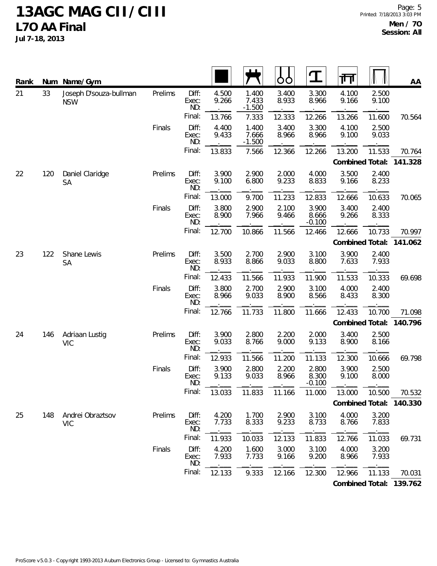| Rank |     | Num Name/Gym                         |         |                       |                |                            | O              | $\mathbf T$                | गा              |                | $A\underline{A}$        |
|------|-----|--------------------------------------|---------|-----------------------|----------------|----------------------------|----------------|----------------------------|-----------------|----------------|-------------------------|
| 21   | 33  | Joseph D'souza-bullman<br><b>NSW</b> | Prelims | Diff:<br>Exec:<br>ND: | 4.500<br>9.266 | 1.400<br>7.433<br>$-1.500$ | 3.400<br>8.933 | 3.300<br>8.966             | 4.100<br>9.166  | 2.500<br>9.100 |                         |
|      |     |                                      |         | Final:                | 13.766         | 7.333                      | 12.333         | 12.266                     | 13.266          | 11.600         | 70.564                  |
|      |     |                                      | Finals  | Diff:<br>Exec:<br>ND: | 4.400<br>9.433 | 1.400<br>7.666<br>$-1.500$ | 3.400<br>8.966 | 3.300<br>8.966             | 4.100<br>9.100  | 2.500<br>9.033 |                         |
|      |     |                                      |         | Final:                | 13.833         | 7.566                      | 12.366         | 12.266                     | 13.200          | 11.533         | 70.764                  |
|      |     |                                      |         |                       |                |                            |                |                            | Combined Total: |                | 141.328                 |
| 22   | 120 | Daniel Claridge<br><b>SA</b>         | Prelims | Diff:<br>Exec:<br>ND: | 3.900<br>9.100 | 2.900<br>6.800             | 2.000<br>9.233 | 4.000<br>8.833             | 3.500<br>9.166  | 2.400<br>8.233 |                         |
|      |     |                                      |         | Final:                | 13.000         | 9.700                      | 11.233         | 12.833                     | 12.666          | 10.633         | 70.065                  |
|      |     |                                      | Finals  | Diff:<br>Exec:<br>ND: | 3.800<br>8.900 | 2.900<br>7.966             | 2.100<br>9.466 | 3.900<br>8.666<br>$-0.100$ | 3.400<br>9.266  | 2.400<br>8.333 |                         |
|      |     |                                      |         | Final:                | 12.700         | 10.866                     | 11.566         | 12.466                     | 12.666          | 10.733         | 70.997                  |
|      |     |                                      |         |                       |                |                            |                |                            | Combined Total: |                | 141.062                 |
| 23   | 122 | Shane Lewis<br>SA                    | Prelims | Diff:<br>Exec:<br>ND: | 3.500<br>8.933 | 2.700<br>8.866             | 2.900<br>9.033 | 3.100<br>8.800             | 3.900<br>7.633  | 2.400<br>7.933 |                         |
|      |     |                                      |         | Final:                | 12.433         | 11.566                     | 11.933         | 11.900                     | 11.533          | 10.333         | 69.698                  |
|      |     |                                      | Finals  | Diff:<br>Exec:<br>ND: | 3.800<br>8.966 | 2.700<br>9.033             | 2.900<br>8.900 | 3.100<br>8.566             | 4.000<br>8.433  | 2.400<br>8.300 |                         |
|      |     |                                      |         | Final:                | 12.766         | 11.733                     | 11.800         | 11.666                     | 12.433          | 10.700         | 71.098                  |
|      |     |                                      |         |                       |                |                            |                |                            | Combined Total: |                | 140.796                 |
| 24   | 146 | Adriaan Lustig<br><b>VIC</b>         | Prelims | Diff:<br>Exec:<br>ND: | 3.900<br>9.033 | 2.800<br>8.766             | 2.200<br>9.000 | 2.000<br>9.133             | 3.400<br>8.900  | 2.500<br>8.166 |                         |
|      |     |                                      |         | Final:                | 12.933         | 11.566                     | 11.200         | 11.133                     | 12.300          | 10.666         | 69.798                  |
|      |     |                                      | Finals  | Diff:<br>Exec:<br>ND: | 3.900<br>9.133 | 2.800<br>9.033<br>$\sim$   | 2.200<br>8.966 | 2.800<br>8.300<br>$-0.100$ | 3.900<br>9.100  | 2.500<br>8.000 |                         |
|      |     |                                      |         | Final:                | 13.033         | 11.833                     | 11.166         | 11.000                     | 13.000          | 10.500         | 70.532                  |
|      |     |                                      |         |                       |                |                            |                |                            |                 |                | Combined Total: 140.330 |
| 25   | 148 | Andrei Obraztsov<br><b>VIC</b>       | Prelims | Diff:<br>Exec:<br>ND: | 4.200<br>7.733 | 1.700<br>8.333             | 2.900<br>9.233 | 3.100<br>8.733             | 4.000<br>8.766  | 3.200<br>7.833 |                         |
|      |     |                                      |         | Final:                | 11.933         | 10.033                     | 12.133         | 11.833                     | 12.766          | 11.033         | 69.731                  |
|      |     |                                      | Finals  | Diff:<br>Exec:<br>ND: | 4.200<br>7.933 | 1.600<br>7.733             | 3.000<br>9.166 | 3.100<br>9.200             | 4.000<br>8.966  | 3.200<br>7.933 |                         |
|      |     |                                      |         | Final:                | 12.133         | 9.333                      | 12.166         | 12.300                     | 12.966          | 11.133         | 70.031                  |
|      |     |                                      |         |                       |                |                            |                |                            |                 |                | Combined Total: 139.762 |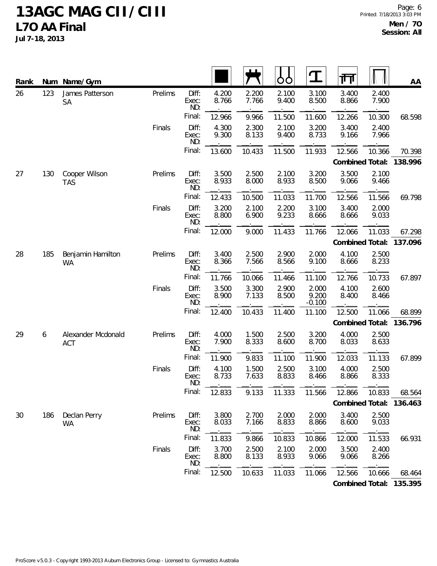| Rank |     | Num Name/Gym                     |         |                       |                |                | Ò<br>Ő         | $\mathbf \Omega$           | गि              |                | AA                      |
|------|-----|----------------------------------|---------|-----------------------|----------------|----------------|----------------|----------------------------|-----------------|----------------|-------------------------|
| 26   | 123 | James Patterson<br><b>SA</b>     | Prelims | Diff:<br>Exec:<br>ND: | 4.200<br>8.766 | 2.200<br>7.766 | 2.100<br>9.400 | 3.100<br>8.500             | 3.400<br>8.866  | 2.400<br>7.900 |                         |
|      |     |                                  |         | Final:                | 12.966         | 9.966          | 11.500         | 11.600                     | 12.266          | 10.300         | 68.598                  |
|      |     |                                  | Finals  | Diff:<br>Exec:<br>ND: | 4.300<br>9.300 | 2.300<br>8.133 | 2.100<br>9.400 | 3.200<br>8.733             | 3.400<br>9.166  | 2.400<br>7.966 |                         |
|      |     |                                  |         | Final:                | 13.600         | 10.433         | 11.500         | 11.933                     | 12.566          | 10.366         | 70.398                  |
|      |     |                                  |         |                       |                |                |                |                            | Combined Total: |                | 138.996                 |
| 27   | 130 | Cooper Wilson<br><b>TAS</b>      | Prelims | Diff:<br>Exec:<br>ND: | 3.500<br>8.933 | 2.500<br>8.000 | 2.100<br>8.933 | 3.200<br>8.500             | 3.500<br>9.066  | 2.100<br>9.466 |                         |
|      |     |                                  |         | Final:                | 12.433         | 10.500         | 11.033         | 11.700                     | 12.566          | 11.566         | 69.798                  |
|      |     |                                  | Finals  | Diff:<br>Exec:<br>ND: | 3.200<br>8.800 | 2.100<br>6.900 | 2.200<br>9.233 | 3.100<br>8.666             | 3.400<br>8.666  | 2.000<br>9.033 |                         |
|      |     |                                  |         | Final:                | 12.000         | 9.000          | 11.433         | 11.766                     | 12.066          | 11.033         | 67.298                  |
|      |     |                                  |         |                       |                |                |                |                            | Combined Total: |                | 137.096                 |
| 28   | 185 | Benjamin Hamilton<br><b>WA</b>   | Prelims | Diff:<br>Exec:<br>ND: | 3.400<br>8.366 | 2.500<br>7.566 | 2.900<br>8.566 | 2.000<br>9.100             | 4.100<br>8.666  | 2.500<br>8.233 |                         |
|      |     |                                  |         | Final:                | 11.766         | 10.066         | 11.466         | 11.100                     | 12.766          | 10.733         | 67.897                  |
|      |     |                                  | Finals  | Diff:<br>Exec:<br>ND: | 3.500<br>8.900 | 3.300<br>7.133 | 2.900<br>8.500 | 2.000<br>9.200<br>$-0.100$ | 4.100<br>8.400  | 2.600<br>8.466 |                         |
|      |     |                                  |         | Final:                | 12.400         | 10.433         | 11.400         | 11.100                     | 12.500          | 11.066         | 68.899                  |
|      |     |                                  |         |                       |                |                |                |                            | Combined Total: |                | 136.796                 |
| 29   | 6   | Alexander Mcdonald<br><b>ACT</b> | Prelims | Diff:<br>Exec:<br>ND: | 4.000<br>7.900 | 1.500<br>8.333 | 2.500<br>8.600 | 3.200<br>8.700             | 4.000<br>8.033  | 2.500<br>8.633 |                         |
|      |     |                                  |         | Final:                | 11.900         | 9.833          | 11.100         | 11.900                     | 12.033          | 11.133         | 67.899                  |
|      |     |                                  | Finals  | Diff:<br>Exec:<br>ND: | 4.100<br>8.733 | 1.500<br>7.633 | 2.500<br>8.833 | 3.100<br>8.466             | 4.000<br>8.866  | 2.500<br>8.333 |                         |
|      |     |                                  |         | Final:                | 12.833         | 9.133          | 11.333         | 11.566                     | 12.866          | 10.833         | 68.564                  |
|      |     |                                  |         |                       |                |                |                |                            |                 |                | Combined Total: 136.463 |
| 30   | 186 | Declan Perry<br><b>WA</b>        | Prelims | Diff:<br>Exec:<br>ND: | 3.800<br>8.033 | 2.700<br>7.166 | 2.000<br>8.833 | 2.000<br>8.866             | 3.400<br>8.600  | 2.500<br>9.033 |                         |
|      |     |                                  |         | Final:                | 11.833         | 9.866          | 10.833         | 10.866                     | 12.000          | 11.533         | 66.931                  |
|      |     |                                  | Finals  | Diff:<br>Exec:<br>ND: | 3.700<br>8.800 | 2.500<br>8.133 | 2.100<br>8.933 | 2.000<br>9.066             | 3.500<br>9.066  | 2.400<br>8.266 |                         |
|      |     |                                  |         | Final:                | 12.500         | 10.633         | 11.033         | 11.066                     | 12.566          | 10.666         | 68.464                  |
|      |     |                                  |         |                       |                |                |                |                            |                 |                | Combined Total: 135.395 |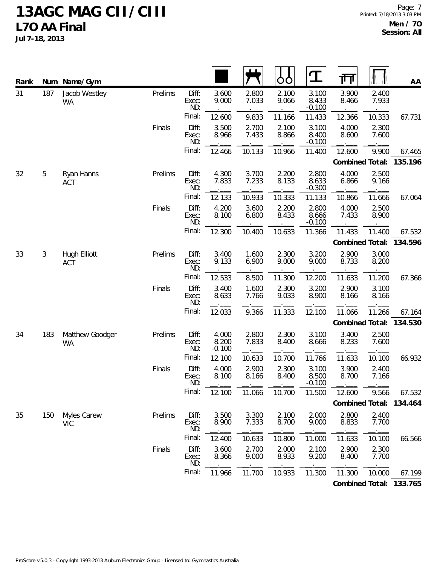| Rank |     | Num Name/Gym                 |         |                       |                            |                | O<br>O         | $\mathbf T$                | ग्ग            |                                                                                                                                                                                                                                                      | AA                      |
|------|-----|------------------------------|---------|-----------------------|----------------------------|----------------|----------------|----------------------------|----------------|------------------------------------------------------------------------------------------------------------------------------------------------------------------------------------------------------------------------------------------------------|-------------------------|
| 31   | 187 | Jacob Westley<br><b>WA</b>   | Prelims | Diff:<br>Exec:<br>ND: | 3.600<br>9.000             | 2.800<br>7.033 | 2.100<br>9.066 | 3.100<br>8.433<br>$-0.100$ | 3.900<br>8.466 | 2.400<br>7.933                                                                                                                                                                                                                                       |                         |
|      |     |                              |         | Final:                | 12.600                     | 9.833          | 11.166         | 11.433                     | 12.366         | 10.333<br>4.000<br>8.600<br>Combined Total:<br>4.000<br>6.866<br>4.000<br>7.433<br>Combined Total:<br>2.900<br>8.733<br>2.900<br>8.166<br>Combined Total:<br>3.400<br>8.233<br>3.900<br>8.700<br>Combined Total:<br>2.800<br>8.833<br>2.900<br>8.400 | 67.731                  |
|      |     |                              | Finals  | Diff:<br>Exec:<br>ND: | 3.500<br>8.966             | 2.700<br>7.433 | 2.100<br>8.866 | 3.100<br>8.400<br>$-0.100$ |                | 2.300<br>7.600                                                                                                                                                                                                                                       |                         |
|      |     |                              |         | Final:                | 12.466                     | 10.133         | 10.966         | 11.400                     | 12.600         | 9.900                                                                                                                                                                                                                                                | 67.465                  |
|      |     |                              |         |                       |                            |                |                |                            |                |                                                                                                                                                                                                                                                      | 135.196                 |
| 32   | 5   | Ryan Hanns<br><b>ACT</b>     | Prelims | Diff:<br>Exec:<br>ND: | 4.300<br>7.833             | 3.700<br>7.233 | 2.200<br>8.133 | 2.800<br>8.633<br>$-0.300$ |                | 2.500<br>9.166                                                                                                                                                                                                                                       |                         |
|      |     |                              |         | Final:                | 12.133                     | 10.933         | 10.333         | 11.133                     | 10.866         | 11.666                                                                                                                                                                                                                                               | 67.064                  |
|      |     |                              | Finals  | Diff:<br>Exec:<br>ND: | 4.200<br>8.100             | 3.600<br>6.800 | 2.200<br>8.433 | 2.800<br>8.666<br>$-0.100$ |                | 2.500<br>8.900                                                                                                                                                                                                                                       |                         |
|      |     |                              |         | Final:                | 12.300                     | 10.400         | 10.633         | 11.366                     | 11.433         | 11.400                                                                                                                                                                                                                                               | 67.532                  |
|      |     |                              |         |                       |                            |                |                |                            |                |                                                                                                                                                                                                                                                      | 134.596                 |
| 33   | 3   | Hugh Elliott<br><b>ACT</b>   | Prelims | Diff:<br>Exec:<br>ND: | 3.400<br>9.133             | 1.600<br>6.900 | 2.300<br>9.000 | 3.200<br>9.000             |                | 3.000<br>8.200                                                                                                                                                                                                                                       |                         |
|      |     |                              |         | Final:                | 12.533                     | 8.500          | 11.300         | 12.200                     | 11.633         | 11.200                                                                                                                                                                                                                                               | 67.366                  |
|      |     |                              | Finals  | Diff:<br>Exec:<br>ND: | 3.400<br>8.633             | 1.600<br>7.766 | 2.300<br>9.033 | 3.200<br>8.900             |                | 3.100<br>8.166                                                                                                                                                                                                                                       |                         |
|      |     |                              |         | Final:                | 12.033                     | 9.366          | 11.333         | 12.100                     | 11.066         | 11.266                                                                                                                                                                                                                                               | 67.164                  |
|      |     |                              |         |                       |                            |                |                |                            |                |                                                                                                                                                                                                                                                      | 134.530                 |
| 34   | 183 | Matthew Goodger<br><b>WA</b> | Prelims | Diff:<br>Exec:<br>ND: | 4.000<br>8.200<br>$-0.100$ | 2.800<br>7.833 | 2.300<br>8.400 | 3.100<br>8.666             |                | 2.500<br>7.600                                                                                                                                                                                                                                       |                         |
|      |     |                              |         | Final:                | 12.100                     | 10.633         | 10.700         | 11.766                     | 11.633         | 10.100                                                                                                                                                                                                                                               | 66.932                  |
|      |     |                              | Finals  | Diff:<br>Exec:<br>ND: | 4.000<br>8.100             | 2.900<br>8.166 | 2.300<br>8.400 | 3.100<br>8.500<br>$-0.100$ |                | 2.400<br>7.166                                                                                                                                                                                                                                       |                         |
|      |     |                              |         | Final:                | 12.100                     | 11.066         | 10.700         | 11.500                     | 12.600         | 9.566                                                                                                                                                                                                                                                | 67.532                  |
|      |     |                              |         |                       |                            |                |                |                            |                |                                                                                                                                                                                                                                                      | 134.464                 |
| 35   | 150 | Myles Carew<br><b>VIC</b>    | Prelims | Diff:<br>Exec:<br>ND: | 3.500<br>8.900             | 3.300<br>7.333 | 2.100<br>8.700 | 2.000<br>9.000             |                | 2.400<br>7.700                                                                                                                                                                                                                                       |                         |
|      |     |                              |         | Final:                | 12.400                     | 10.633         | 10.800         | 11.000                     | 11.633         | 10.100                                                                                                                                                                                                                                               | 66.566                  |
|      |     |                              | Finals  | Diff:<br>Exec:<br>ND: | 3.600<br>8.366             | 2.700<br>9.000 | 2.000<br>8.933 | 2.100<br>9.200             |                | 2.300<br>7.700                                                                                                                                                                                                                                       |                         |
|      |     |                              |         | Final:                | 11.966                     | 11.700         | 10.933         | 11.300                     | 11.300         | 10.000                                                                                                                                                                                                                                               | 67.199                  |
|      |     |                              |         |                       |                            |                |                |                            |                |                                                                                                                                                                                                                                                      | Combined Total: 133.765 |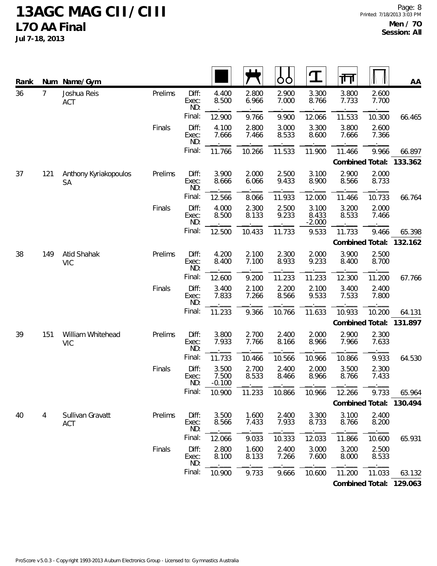| Rank |                | Num Name/Gym                    |         |                       |                            |                | Ò<br>Ő         | Ί                          | गा              |                | AA                      |
|------|----------------|---------------------------------|---------|-----------------------|----------------------------|----------------|----------------|----------------------------|-----------------|----------------|-------------------------|
| 36   | $\overline{7}$ | Joshua Reis<br><b>ACT</b>       | Prelims | Diff:<br>Exec:<br>ND: | 4.400<br>8.500             | 2.800<br>6.966 | 2.900<br>7.000 | 3.300<br>8.766             | 3.800<br>7.733  | 2.600<br>7.700 |                         |
|      |                |                                 |         | Final:                | 12.900                     | 9.766          | 9.900          | 12.066                     | 11.533          | 10.300         | 66.465                  |
|      |                |                                 | Finals  | Diff:<br>Exec:<br>ND: | 4.100<br>7.666             | 2.800<br>7.466 | 3.000<br>8.533 | 3.300<br>8.600             | 3.800<br>7.666  | 2.600<br>7.366 |                         |
|      |                |                                 |         | Final:                | 11.766                     | 10.266         | 11.533         | 11.900                     | 11.466          | 9.966          | 66.897                  |
|      |                |                                 |         |                       |                            |                |                |                            | Combined Total: |                | 133.362                 |
| 37   | 121            | Anthony Kyriakopoulos<br>SA     | Prelims | Diff:<br>Exec:<br>ND: | 3.900<br>8.666             | 2.000<br>6.066 | 2.500<br>9.433 | 3.100<br>8.900             | 2.900<br>8.566  | 2.000<br>8.733 |                         |
|      |                |                                 |         | Final:                | 12.566                     | 8.066          | 11.933         | 12.000                     | 11.466          | 10.733         | 66.764                  |
|      |                |                                 | Finals  | Diff:<br>Exec:<br>ND: | 4.000<br>8.500             | 2.300<br>8.133 | 2.500<br>9.233 | 3.100<br>8.433<br>$-2.000$ | 3.200<br>8.533  | 2.000<br>7.466 |                         |
|      |                |                                 |         | Final:                | 12.500                     | 10.433         | 11.733         | 9.533                      | 11.733          | 9.466          | 65.398                  |
|      |                |                                 |         |                       |                            |                |                |                            | Combined Total: |                | 132.162                 |
| 38   | 149            | Atid Shahak<br><b>VIC</b>       | Prelims | Diff:<br>Exec:<br>ND: | 4.200<br>8.400             | 2.100<br>7.100 | 2.300<br>8.933 | 2.000<br>9.233             | 3.900<br>8.400  | 2.500<br>8.700 |                         |
|      |                |                                 |         | Final:                | 12.600                     | 9.200          | 11.233         | 11.233                     | 12.300          | 11.200         | 67.766                  |
|      |                |                                 | Finals  | Diff:<br>Exec:<br>ND: | 3.400<br>7.833             | 2.100<br>7.266 | 2.200<br>8.566 | 2.100<br>9.533             | 3.400<br>7.533  | 2.400<br>7.800 |                         |
|      |                |                                 |         | Final:                | 11.233                     | 9.366          | 10.766         | 11.633                     | 10.933          | 10.200         | 64.131                  |
|      |                |                                 |         |                       |                            |                |                |                            | Combined Total: |                | 131.897                 |
| 39   | 151            | William Whitehead<br><b>VIC</b> | Prelims | Diff:<br>Exec:<br>ND: | 3.800<br>7.933             | 2.700<br>7.766 | 2.400<br>8.166 | 2.000<br>8.966             | 2.900<br>7.966  | 2.300<br>7.633 |                         |
|      |                |                                 |         | Final:                | 11.733                     | 10.466         | 10.566         | 10.966                     | 10.866          | 9.933          | 64.530                  |
|      |                |                                 | Finals  | Diff:<br>Exec:<br>ND: | 3.500<br>7.500<br>$-0.100$ | 2.700<br>8.533 | 2.400<br>8.466 | 2.000<br>8.966             | 3.500<br>8.766  | 2.300<br>7.433 |                         |
|      |                |                                 |         | Final:                | 10.900                     | 11.233         | 10.866         | 10.966                     | 12.266          | 9.733          | 65.964                  |
|      |                |                                 |         |                       |                            |                |                |                            |                 |                | Combined Total: 130.494 |
| 40   | 4              | Sullivan Gravatt<br><b>ACT</b>  | Prelims | Diff:<br>Exec:<br>ND: | 3.500<br>8.566             | 1.600<br>7.433 | 2.400<br>7.933 | 3.300<br>8.733             | 3.100<br>8.766  | 2.400<br>8.200 |                         |
|      |                |                                 |         | Final:                | 12.066                     | 9.033          | 10.333         | 12.033                     | 11.866          | 10.600         | 65.931                  |
|      |                |                                 | Finals  | Diff:<br>Exec:<br>ND: | 2.800<br>8.100             | 1.600<br>8.133 | 2.400<br>7.266 | 3.000<br>7.600             | 3.200<br>8.000  | 2.500<br>8.533 |                         |
|      |                |                                 |         | Final:                | 10.900                     | 9.733          | 9.666          | 10.600                     | 11.200          | 11.033         | 63.132                  |
|      |                |                                 |         |                       |                            |                |                |                            |                 |                | Combined Total: 129.063 |